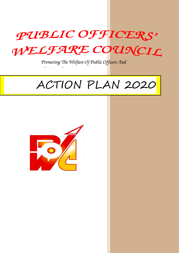

*Promoting The Welfare Of Public Officers And* 

# ACTION PLAN 2020



*Their Families*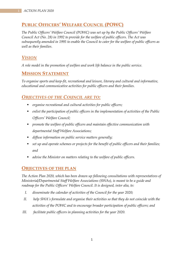# **PUBLIC OFFICERS' WELFARE COUNCIL (POWC)**

*The Public Officers' Welfare Council (POWC) was set up by the Public Officers' Welfare Council Act (No. 28) in 1992 to provide for the welfare of public officers. The Act was subsequently amended in 1995 to enable the Council to cater for the welfare of public officers as well as their families.*

### *VISION*

*A role model in the promotion of welfare and work life balance in the public service.*

### **MISSION STATEMENT**

*To organise sports and keep-fit, recreational and leisure, literary and cultural and informative, educational and communicative activities for public officers and their families.*

## *OBJECTIVES OF THE COUNCIL ARE TO:*

- *organise recreational and cultural activities for public officers;*
- *enlist the participation of public officers in the implementation of activities of the Public Officers' Welfare Council;*
- *promote the welfare of public officers and maintain effective communication with departmental Staff Welfare Associations;*
- *diffuse information on public service matters generally;*
- set up and operate schemes or projects for the benefit of public officers and their families; *and*
- *advise the Minister on matters relating to the welfare of public officers.*

### **OBJECTIVES OF THE PLAN**

*The Action Plan 2020, which has been drawn up following consultations with representatives of Ministerial/Departmental Staff Welfare Associations (SWAs), is meant to be a guide and roadmap for the Public Officers' Welfare Council. It is designed, inter alia, to:* 

- *I. disseminate the calendar of activities of the Council for the year 2020;*
- *II. help SWA's formulate and organise their activities so that they do not coincide with the activities of the POWC and to encourage broader participation of public officers; and*
- *III. facilitate public officers in planning activities for the year 2020.*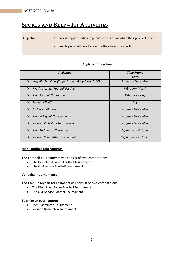# **SPORTS AND KEEP – FIT ACTIVITIES**

| <b>Objectives</b> | $\triangleright$ Provide opportunities to public officers to maintain their physical fitness |
|-------------------|----------------------------------------------------------------------------------------------|
|                   | Enable public officers to practise their favourite sports<br>➤                               |

#### *Implementation Plan*

| <b>Activities</b>                                                               | <b>Time Frame</b>   |
|---------------------------------------------------------------------------------|---------------------|
|                                                                                 | 2020                |
| Keep-Fit Activities (Yoga, Zumba, Bolly Aero, Tai Chi)<br>$\blacktriangleright$ | January - December  |
| $\blacktriangleright$<br>7 A side Ladies Football Festival                      | February/March      |
| <b>Men Football Tournaments</b><br>⋗                                            | February - May      |
| Futsal (NEW)*<br>⋗                                                              | July                |
| <b>Archery Initiation</b><br>➤                                                  | August - September  |
| <b>Men Volleyball Tournaments</b><br>➤                                          | August - September  |
| ⋗<br>Women Volleyball Tournament                                                | August - September  |
| <b>Men Badminton Tournament</b><br>↘                                            | September - October |
| <b>Women Badminton Tournament</b><br>↘                                          | September - October |

#### **Men Football Tournaments:**

The Football Tournaments will consist of two competitions:

- The Disciplined Forces Football Tournament
- The Civil Service Football Tournament

#### **Volleyball tournaments**

The Men Volleyball Tournaments will consist of two competitions:

- The Disciplined Forces Football Tournament
- The Civil Service Football Tournament

#### **Badminton tournaments**

- Men Badminton Tournament
- Women Badminton Tournament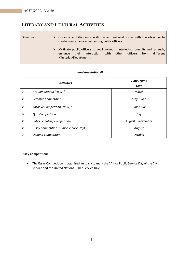# **LITERARY AND CULTURAL ACTIVITIES**

| <b>Objectives</b> | Organise activities on specific current national issues with the objective to<br>create greater awareness among public officers                                                                     |  |
|-------------------|-----------------------------------------------------------------------------------------------------------------------------------------------------------------------------------------------------|--|
|                   | Motivate public officers to get involved in intellectual pursuits and, as such,<br>➤<br>with<br>from<br>interaction<br>officers<br>other<br>different<br>their<br>enhance<br>Ministries/Departments |  |

# *Activities Time Frame 2020 Art Competition (NEW)\* March Scrabble Competition May - June Karaoke Competition (NEW)\* June/ July Quiz Competition July ►* Public Speaking Competition **August August** *August – November Essay Competition (Public Service Day) August* **2** Domino Competition **Demanda Competition Demanda Competition Demanda Competition**

#### *Implementation Plan*

#### **Essay Competition:**

 The Essay Competition is organised annually to mark the "Africa Public Service Day of the Civil Service and the United Nations Public Service Day".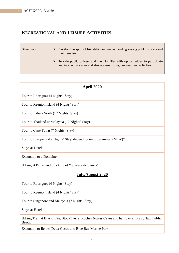# **RECREATIONAL AND LEISURE ACTIVITIES**

| <b>Objectives</b> | Develop the spirit of friendship and understanding among public officers and<br>their families                                                                          |
|-------------------|-------------------------------------------------------------------------------------------------------------------------------------------------------------------------|
|                   | $\triangleright$ Provide public officers and their families with opportunities to participate<br>and interact in a convivial atmosphere through recreational activities |

| April 2020                                                                                                                          |
|-------------------------------------------------------------------------------------------------------------------------------------|
| Tour to Rodrigues (4 Nights' Stay)                                                                                                  |
| Tour to Reunion Island (4 Nights' Stay)                                                                                             |
| Tour to India - North (12 Nights' Stay)                                                                                             |
| Tour to Thailand & Malaysia (12 Nights' Stay)                                                                                       |
| Tour to Cape Town (7 Nights' Stay)                                                                                                  |
| Tour to Europe (7-12 Nights' Stay, depending on programme) (NEW)*                                                                   |
| <b>Stays at Hotels</b>                                                                                                              |
| <b>Excursion to a Domaine</b>                                                                                                       |
| Hiking at Petrin and plucking of "goyaves de chines"                                                                                |
| <b>July/August 2020</b>                                                                                                             |
| Tour to Rodrigues (4 Nights' Stay)                                                                                                  |
| Tour to Reunion Island (4 Nights' Stay)                                                                                             |
| Tour to Singapore and Malaysia (7 Nights' Stay)                                                                                     |
| <b>Stays at Hotels</b>                                                                                                              |
| Hiking Trail at Bras d'Eau, Stop-Over at Roches Noires Caves and half day at Bras d'Eau Public<br>Beach                             |
| $\mathbf{r}$ and $\mathbf{r}$ and $\mathbf{r}$ and $\mathbf{r}$ and $\mathbf{r}$ and $\mathbf{r}$ and $\mathbf{r}$ and $\mathbf{r}$ |

Excursion to Ile des Deux Cocos and Blue Bay Marine Park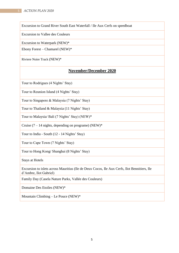Excursion to Grand River South East Waterfall / Ile Aux Cerfs on speedboat

Excursion to Vallee des Couleurs

Excursion to Waterpark (NEW)\*

Ebony Forest – Chamarel (NEW)\*

Riviere Noire Track (NEW)\*

### **November/December 2020**

Tour to Rodrigues (4 Nights' Stay)

Tour to Reunion Island (4 Nights' Stay)

Tour to Singapore & Malaysia (7 Nights' Stay)

Tour to Thailand & Malaysia (11 Nights' Stay)

Tour to Malaysia/ Bali (7 Nights' Stay) (NEW)\*

Cruise  $(7 - 14$  nights, depending on programe) (NEW)\*

Tour to India - South (12 - 14 Nights' Stay)

Tour to Cape Town (7 Nights' Stay)

Tour to Hong Kong/ Shanghai (8 Nights' Stay)

Stays at Hotels

Excursion to islets across Mauritius (Ile de Deux Cocos, Ile Aux Cerfs, Ilot Bennitiers, Ile d'Ambre, Ilot Gabriel)

Family Day (Casela Nature Parks, Vallée des Couleurs)

Domaine Des Etoiles (NEW)\*

Mountain Climbing – Le Pouce (NEW)\*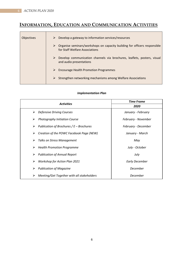# **INFORMATION, EDUCATION AND COMMUNICATION ACTIVITIES**

| <b>Objectives</b> | Develop a gateway to information services/resources<br>➤                                                         |
|-------------------|------------------------------------------------------------------------------------------------------------------|
|                   | Organise seminars/workshops on capacity building for officers responsible<br>➤<br>for Staff Welfare Associations |
|                   | Develop communication channels via brochures, leaflets, posters, visual<br>and audio presentations               |
|                   | <b>Encourage Health Promotion Programmes</b><br>➤                                                                |
|                   | Strengthen networking mechanisms among Welfare Associations<br>➤                                                 |

#### *Implementation Plan*

| <b>Activities</b>                                         | <b>Time Frame</b>     |
|-----------------------------------------------------------|-----------------------|
|                                                           | 2020                  |
| $\triangleright$ Defensive Driving Courses                | January - February    |
| <b>Photography Initiation Course</b><br>➤                 | February - November   |
| $\triangleright$ Publication of Brochures / E – Brochures | February - December   |
| Creation of the POWC Facebook Page (NEW)<br>➤             | January - March       |
| Talks on Stress Management<br>➤                           | May                   |
| $\triangleright$ Health Promotion Programme               | July - October        |
| $\triangleright$ Publication of Annual Report             | July                  |
| <b>Workshop for Action Plan 2021</b><br>➤                 | <b>Early December</b> |
| <b>Publication of Magazine</b><br>➤                       | December              |
| Meeting/Get Together with all stakeholders                | December              |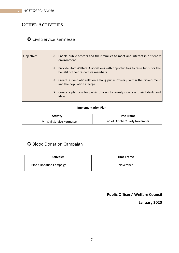# **OTHER ACTIVITIES**

## Civil Service Kermesse

| <b>Objectives</b> | $\triangleright$ Enable public officers and their families to meet and interact in a friendly<br>environment                         |
|-------------------|--------------------------------------------------------------------------------------------------------------------------------------|
|                   | $\triangleright$ Provide Staff Welfare Associations with opportunities to raise funds for the<br>benefit of their respective members |
|                   | $\triangleright$ Create a symbiotic relation among public officers, within the Government<br>and the population at large             |
|                   | $\triangleright$ Create a platform for public officers to reveal/showcase their talents and<br>ideas                                 |

#### **Implementation Plan**

| Activity                                | <b>Time Frame</b>              |
|-----------------------------------------|--------------------------------|
| $\triangleright$ Civil Service Kermesse | End of October/ Early November |

# **O** Blood Donation Campaign

| <b>Activities</b>              | <b>Time Frame</b> |
|--------------------------------|-------------------|
| <b>Blood Donation Campaign</b> | November          |

**Public Officers' Welfare Council**

### **January 2020**